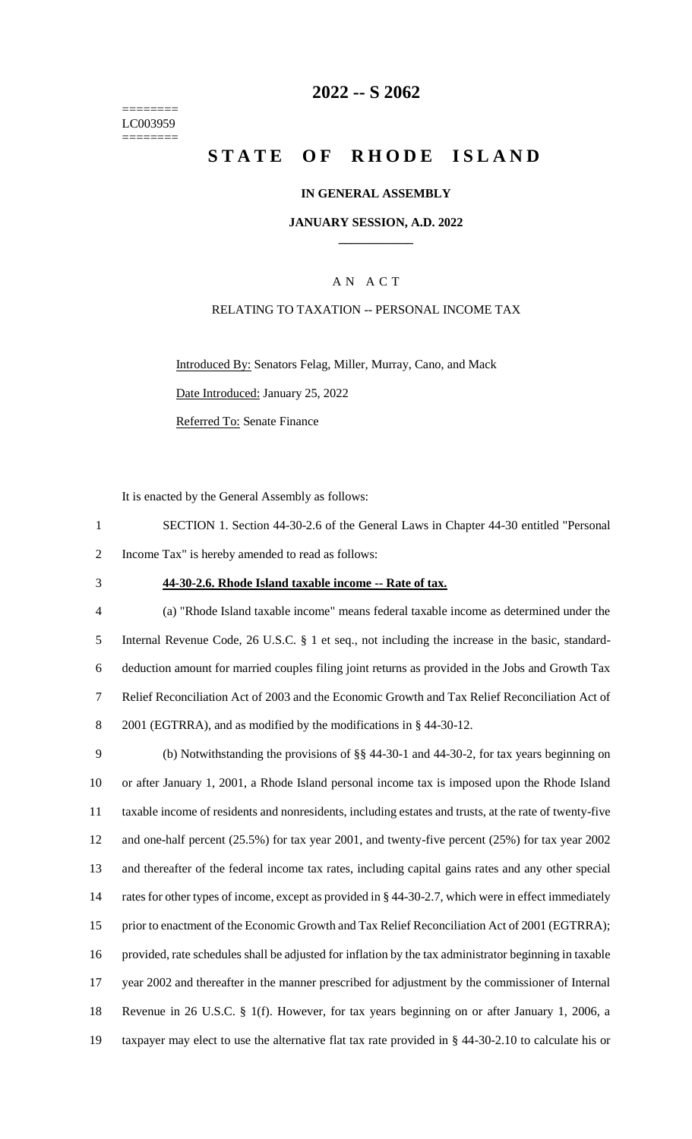======== LC003959 ========

## **2022 -- S 2062**

# **STATE OF RHODE ISLAND**

### **IN GENERAL ASSEMBLY**

### **JANUARY SESSION, A.D. 2022 \_\_\_\_\_\_\_\_\_\_\_\_**

### A N A C T

### RELATING TO TAXATION -- PERSONAL INCOME TAX

Introduced By: Senators Felag, Miller, Murray, Cano, and Mack

Date Introduced: January 25, 2022

Referred To: Senate Finance

It is enacted by the General Assembly as follows:

- 1 SECTION 1. Section 44-30-2.6 of the General Laws in Chapter 44-30 entitled "Personal 2 Income Tax" is hereby amended to read as follows:
- 

#### 3 **44-30-2.6. Rhode Island taxable income -- Rate of tax.**

 (a) "Rhode Island taxable income" means federal taxable income as determined under the Internal Revenue Code, 26 U.S.C. § 1 et seq., not including the increase in the basic, standard- deduction amount for married couples filing joint returns as provided in the Jobs and Growth Tax Relief Reconciliation Act of 2003 and the Economic Growth and Tax Relief Reconciliation Act of 2001 (EGTRRA), and as modified by the modifications in § 44-30-12.

 (b) Notwithstanding the provisions of §§ 44-30-1 and 44-30-2, for tax years beginning on or after January 1, 2001, a Rhode Island personal income tax is imposed upon the Rhode Island taxable income of residents and nonresidents, including estates and trusts, at the rate of twenty-five and one-half percent (25.5%) for tax year 2001, and twenty-five percent (25%) for tax year 2002 and thereafter of the federal income tax rates, including capital gains rates and any other special 14 rates for other types of income, except as provided in § 44-30-2.7, which were in effect immediately 15 prior to enactment of the Economic Growth and Tax Relief Reconciliation Act of 2001 (EGTRRA); provided, rate schedules shall be adjusted for inflation by the tax administrator beginning in taxable year 2002 and thereafter in the manner prescribed for adjustment by the commissioner of Internal Revenue in 26 U.S.C. § 1(f). However, for tax years beginning on or after January 1, 2006, a taxpayer may elect to use the alternative flat tax rate provided in § 44-30-2.10 to calculate his or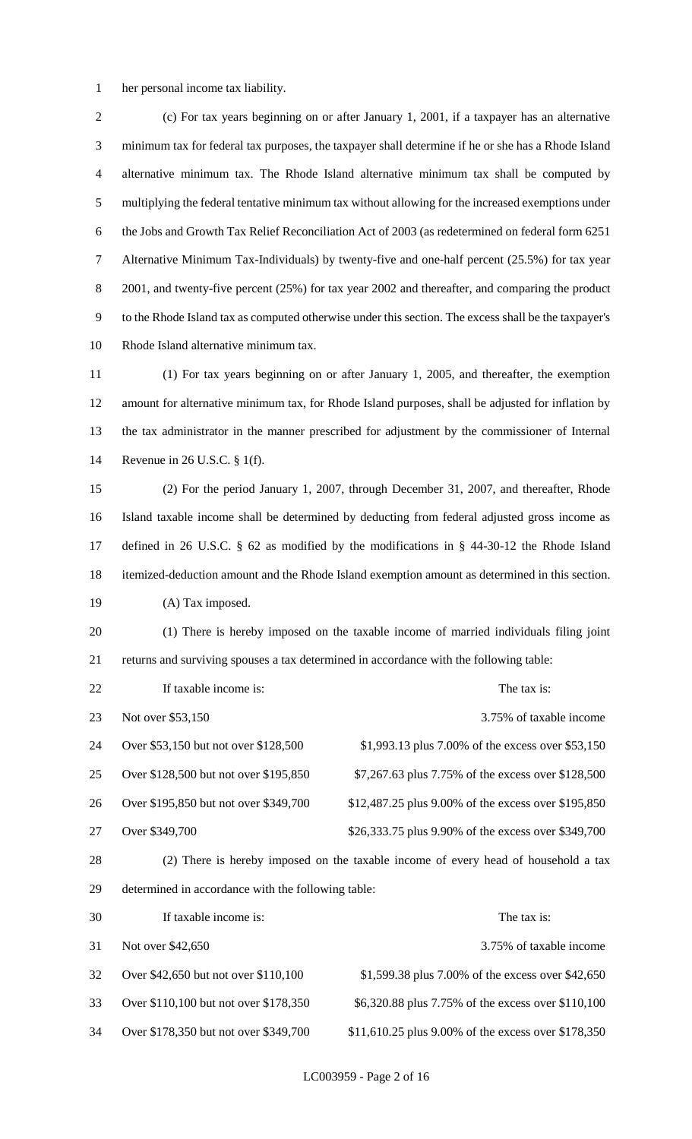her personal income tax liability.

 (c) For tax years beginning on or after January 1, 2001, if a taxpayer has an alternative minimum tax for federal tax purposes, the taxpayer shall determine if he or she has a Rhode Island alternative minimum tax. The Rhode Island alternative minimum tax shall be computed by multiplying the federal tentative minimum tax without allowing for the increased exemptions under the Jobs and Growth Tax Relief Reconciliation Act of 2003 (as redetermined on federal form 6251 Alternative Minimum Tax-Individuals) by twenty-five and one-half percent (25.5%) for tax year 8 2001, and twenty-five percent (25%) for tax year 2002 and thereafter, and comparing the product to the Rhode Island tax as computed otherwise under this section. The excess shall be the taxpayer's Rhode Island alternative minimum tax.

 (1) For tax years beginning on or after January 1, 2005, and thereafter, the exemption amount for alternative minimum tax, for Rhode Island purposes, shall be adjusted for inflation by the tax administrator in the manner prescribed for adjustment by the commissioner of Internal Revenue in 26 U.S.C. § 1(f).

 (2) For the period January 1, 2007, through December 31, 2007, and thereafter, Rhode Island taxable income shall be determined by deducting from federal adjusted gross income as defined in 26 U.S.C. § 62 as modified by the modifications in § 44-30-12 the Rhode Island itemized-deduction amount and the Rhode Island exemption amount as determined in this section. 19 (A) Tax imposed.

 (1) There is hereby imposed on the taxable income of married individuals filing joint returns and surviving spouses a tax determined in accordance with the following table:

| 22     | If taxable income is:                                                                                                 | The tax is:                                         |
|--------|-----------------------------------------------------------------------------------------------------------------------|-----------------------------------------------------|
| 23     | Not over \$53,150                                                                                                     | 3.75% of taxable income                             |
| 24     | Over \$53,150 but not over \$128,500                                                                                  | \$1,993.13 plus 7.00% of the excess over \$53,150   |
| 25     | Over \$128,500 but not over \$195,850                                                                                 | \$7,267.63 plus 7.75% of the excess over \$128,500  |
| 26     | Over \$195,850 but not over \$349,700                                                                                 | \$12,487.25 plus 9.00% of the excess over \$195,850 |
| 27     | Over \$349,700                                                                                                        | \$26,333.75 plus 9.90% of the excess over \$349,700 |
| $\sim$ | $\mathbf{1}$ , $\mathbf{1}$ , $\mathbf{1}$ , $\mathbf{1}$ , $\mathbf{1}$ , $\mathbf{1}$ , $\mathbf{1}$ , $\mathbf{1}$ |                                                     |

 (2) There is hereby imposed on the taxable income of every head of household a tax determined in accordance with the following table:

| 30 | If taxable income is:                 | The tax is:                                         |
|----|---------------------------------------|-----------------------------------------------------|
| 31 | Not over \$42,650                     | 3.75% of taxable income                             |
| 32 | Over \$42,650 but not over \$110,100  | \$1,599.38 plus 7.00% of the excess over \$42,650   |
| 33 | Over \$110,100 but not over \$178,350 | \$6,320.88 plus 7.75% of the excess over \$110,100  |
| 34 | Over \$178,350 but not over \$349,700 | \$11,610.25 plus 9.00% of the excess over \$178,350 |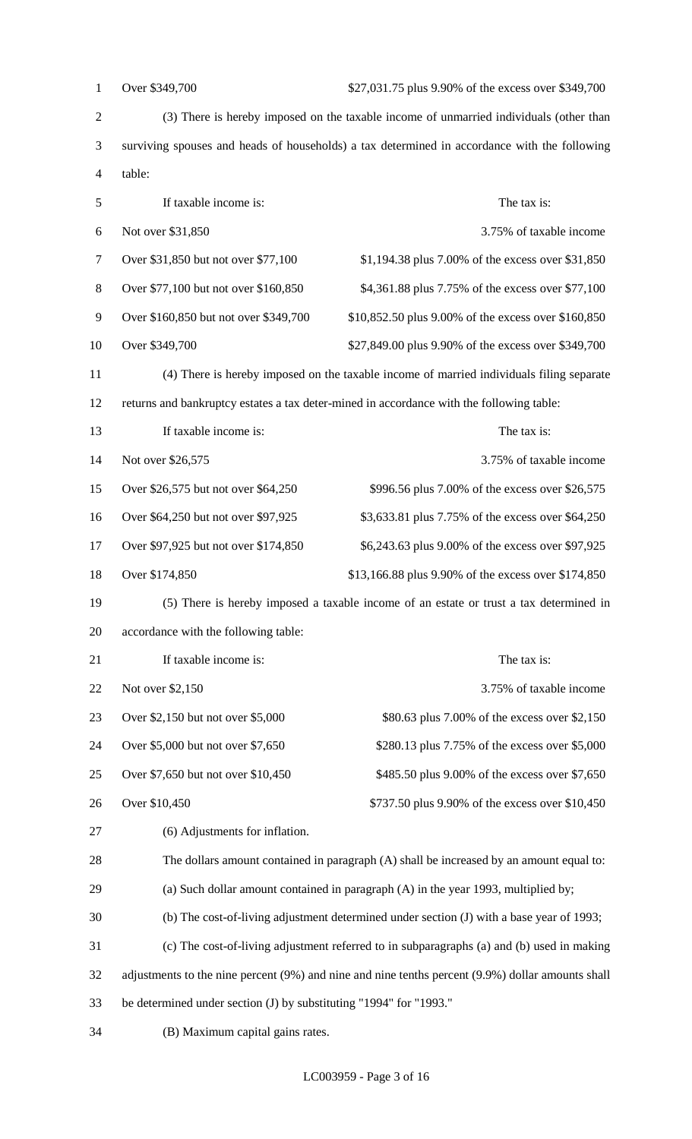| $\mathbf{1}$   | Over \$349,700<br>\$27,031.75 plus 9.90% of the excess over \$349,700                        |                                                                                                   |  |
|----------------|----------------------------------------------------------------------------------------------|---------------------------------------------------------------------------------------------------|--|
| $\sqrt{2}$     | (3) There is hereby imposed on the taxable income of unmarried individuals (other than       |                                                                                                   |  |
| 3              | surviving spouses and heads of households) a tax determined in accordance with the following |                                                                                                   |  |
| $\overline{4}$ | table:                                                                                       |                                                                                                   |  |
| 5              | If taxable income is:<br>The tax is:                                                         |                                                                                                   |  |
| 6              | Not over \$31,850                                                                            | 3.75% of taxable income                                                                           |  |
| $\tau$         | Over \$31,850 but not over \$77,100                                                          | \$1,194.38 plus 7.00% of the excess over \$31,850                                                 |  |
| $8\,$          | Over \$77,100 but not over \$160,850                                                         | \$4,361.88 plus 7.75% of the excess over \$77,100                                                 |  |
| 9              | Over \$160,850 but not over \$349,700                                                        | \$10,852.50 plus 9.00% of the excess over \$160,850                                               |  |
| 10             | Over \$349,700                                                                               | \$27,849.00 plus 9.90% of the excess over \$349,700                                               |  |
| 11             |                                                                                              | (4) There is hereby imposed on the taxable income of married individuals filing separate          |  |
| 12             |                                                                                              | returns and bankruptcy estates a tax deter-mined in accordance with the following table:          |  |
| 13             | If taxable income is:                                                                        | The tax is:                                                                                       |  |
| 14             | Not over \$26,575                                                                            | 3.75% of taxable income                                                                           |  |
| 15             | Over \$26,575 but not over \$64,250                                                          | \$996.56 plus 7.00% of the excess over \$26,575                                                   |  |
| 16             | Over \$64,250 but not over \$97,925                                                          | \$3,633.81 plus 7.75% of the excess over \$64,250                                                 |  |
| 17             | Over \$97,925 but not over \$174,850                                                         | \$6,243.63 plus 9.00% of the excess over \$97,925                                                 |  |
| 18             | Over \$174,850<br>\$13,166.88 plus 9.90% of the excess over \$174,850                        |                                                                                                   |  |
| 19             | (5) There is hereby imposed a taxable income of an estate or trust a tax determined in       |                                                                                                   |  |
|                |                                                                                              |                                                                                                   |  |
| 20             | accordance with the following table:                                                         |                                                                                                   |  |
| 21             | If taxable income is:                                                                        | The tax is:                                                                                       |  |
| 22             | Not over \$2,150                                                                             | 3.75% of taxable income                                                                           |  |
| 23             | Over \$2,150 but not over \$5,000                                                            | \$80.63 plus 7.00% of the excess over \$2,150                                                     |  |
| 24             | Over \$5,000 but not over \$7,650                                                            | \$280.13 plus 7.75% of the excess over \$5,000                                                    |  |
| 25             | Over \$7,650 but not over \$10,450                                                           | \$485.50 plus 9.00% of the excess over \$7,650                                                    |  |
| 26             | Over \$10,450                                                                                | \$737.50 plus 9.90% of the excess over \$10,450                                                   |  |
| 27             | (6) Adjustments for inflation.                                                               |                                                                                                   |  |
| 28             |                                                                                              | The dollars amount contained in paragraph (A) shall be increased by an amount equal to:           |  |
| 29             |                                                                                              | (a) Such dollar amount contained in paragraph (A) in the year 1993, multiplied by;                |  |
| 30             |                                                                                              | (b) The cost-of-living adjustment determined under section (J) with a base year of 1993;          |  |
| 31             |                                                                                              | (c) The cost-of-living adjustment referred to in subparagraphs (a) and (b) used in making         |  |
| 32             |                                                                                              | adjustments to the nine percent (9%) and nine and nine tenths percent (9.9%) dollar amounts shall |  |
| 33             | be determined under section (J) by substituting "1994" for "1993."                           |                                                                                                   |  |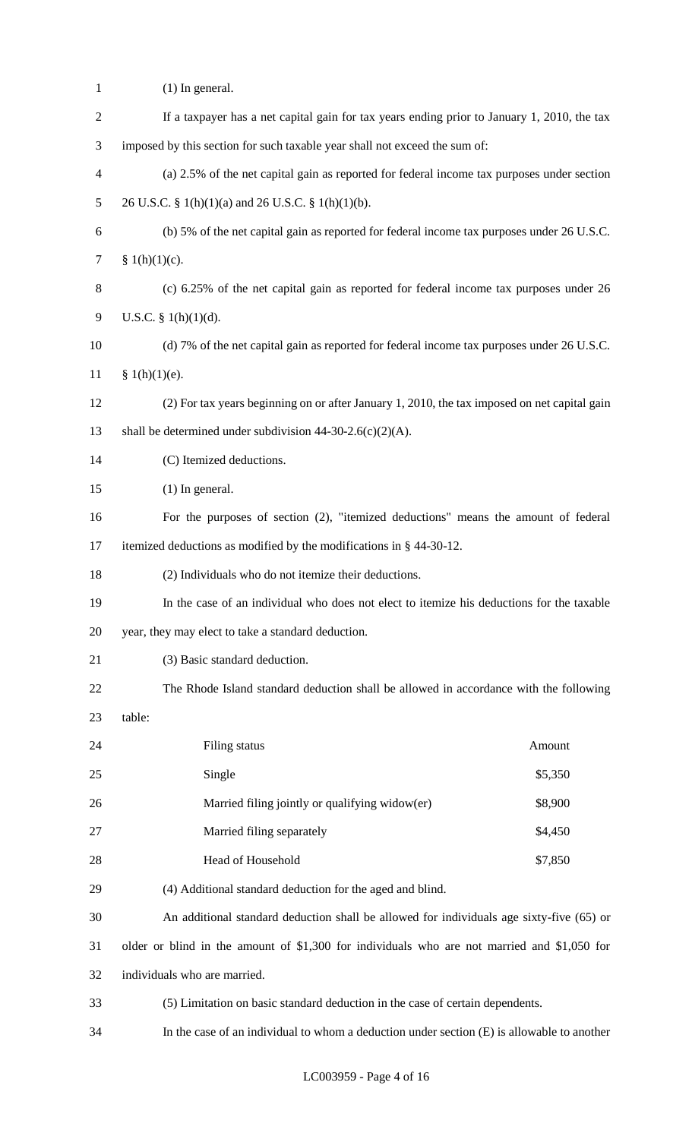| $\mathbf{1}$   | $(1)$ In general.                                                                            |         |  |  |
|----------------|----------------------------------------------------------------------------------------------|---------|--|--|
| $\overline{2}$ | If a taxpayer has a net capital gain for tax years ending prior to January 1, 2010, the tax  |         |  |  |
| 3              | imposed by this section for such taxable year shall not exceed the sum of:                   |         |  |  |
| 4              | (a) 2.5% of the net capital gain as reported for federal income tax purposes under section   |         |  |  |
| 5              | 26 U.S.C. § 1(h)(1)(a) and 26 U.S.C. § 1(h)(1)(b).                                           |         |  |  |
| 6              | (b) 5% of the net capital gain as reported for federal income tax purposes under 26 U.S.C.   |         |  |  |
| $\overline{7}$ | § $1(h)(1)(c)$ .                                                                             |         |  |  |
| 8              | (c) 6.25% of the net capital gain as reported for federal income tax purposes under 26       |         |  |  |
| 9              | U.S.C. § $1(h)(1)(d)$ .                                                                      |         |  |  |
| 10             | (d) 7% of the net capital gain as reported for federal income tax purposes under 26 U.S.C.   |         |  |  |
| 11             | § 1(h)(1)(e).                                                                                |         |  |  |
| 12             | (2) For tax years beginning on or after January 1, 2010, the tax imposed on net capital gain |         |  |  |
| 13             | shall be determined under subdivision $44-30-2.6(c)(2)(A)$ .                                 |         |  |  |
| 14             | (C) Itemized deductions.                                                                     |         |  |  |
| 15             | $(1)$ In general.                                                                            |         |  |  |
| 16             | For the purposes of section (2), "itemized deductions" means the amount of federal           |         |  |  |
| 17             | itemized deductions as modified by the modifications in § 44-30-12.                          |         |  |  |
| 18             | (2) Individuals who do not itemize their deductions.                                         |         |  |  |
| 19             | In the case of an individual who does not elect to itemize his deductions for the taxable    |         |  |  |
| 20             | year, they may elect to take a standard deduction.                                           |         |  |  |
| 21             | (3) Basic standard deduction.                                                                |         |  |  |
| 22             | The Rhode Island standard deduction shall be allowed in accordance with the following        |         |  |  |
| 23             | table:                                                                                       |         |  |  |
| 24             | Filing status                                                                                | Amount  |  |  |
| 25             | Single                                                                                       | \$5,350 |  |  |
| 26             | Married filing jointly or qualifying widow(er)                                               | \$8,900 |  |  |
| 27             | Married filing separately                                                                    | \$4,450 |  |  |
| 28             | Head of Household                                                                            | \$7,850 |  |  |
| 29             | (4) Additional standard deduction for the aged and blind.                                    |         |  |  |
| 30             | An additional standard deduction shall be allowed for individuals age sixty-five (65) or     |         |  |  |
| 31             | older or blind in the amount of \$1,300 for individuals who are not married and \$1,050 for  |         |  |  |
| 32             | individuals who are married.                                                                 |         |  |  |
| 33             | (5) Limitation on basic standard deduction in the case of certain dependents.                |         |  |  |
| 34             | In the case of an individual to whom a deduction under section (E) is allowable to another   |         |  |  |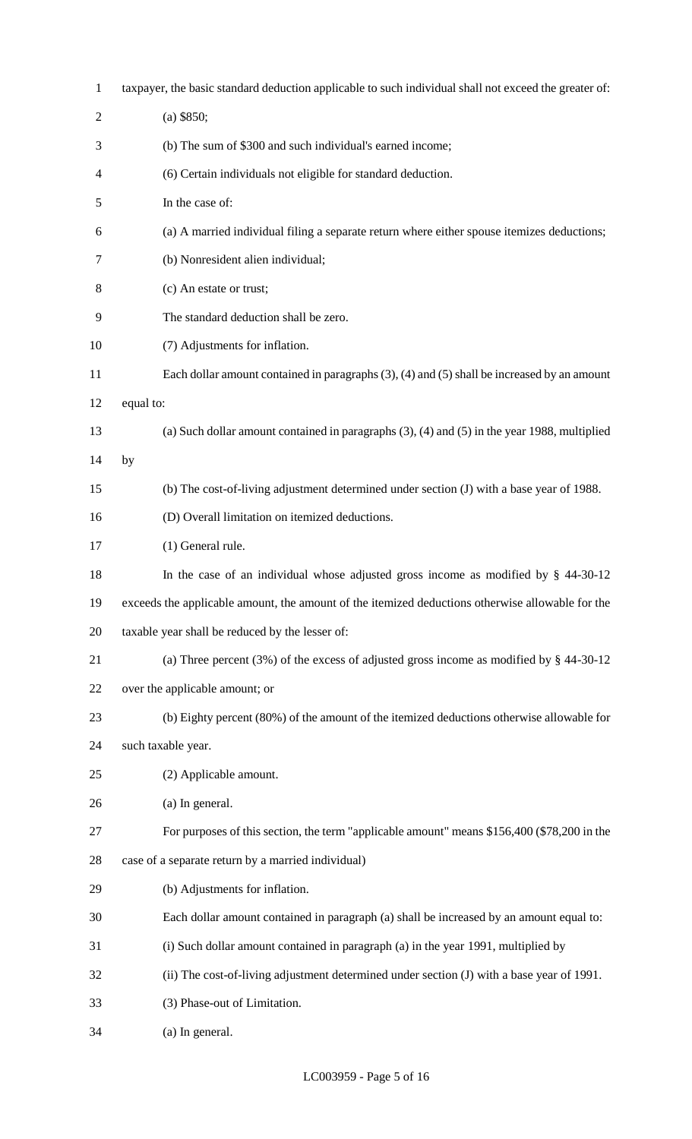| $\mathbf{1}$   | taxpayer, the basic standard deduction applicable to such individual shall not exceed the greater of: |  |  |  |
|----------------|-------------------------------------------------------------------------------------------------------|--|--|--|
| $\overline{2}$ | $(a)$ \$850;                                                                                          |  |  |  |
| 3              | (b) The sum of \$300 and such individual's earned income;                                             |  |  |  |
| 4              | (6) Certain individuals not eligible for standard deduction.                                          |  |  |  |
| 5              | In the case of:                                                                                       |  |  |  |
| 6              | (a) A married individual filing a separate return where either spouse itemizes deductions;            |  |  |  |
| 7              | (b) Nonresident alien individual;                                                                     |  |  |  |
| 8              | (c) An estate or trust;                                                                               |  |  |  |
| 9              | The standard deduction shall be zero.                                                                 |  |  |  |
| 10             | (7) Adjustments for inflation.                                                                        |  |  |  |
| 11             | Each dollar amount contained in paragraphs $(3)$ , $(4)$ and $(5)$ shall be increased by an amount    |  |  |  |
| 12             | equal to:                                                                                             |  |  |  |
| 13             | (a) Such dollar amount contained in paragraphs $(3)$ , $(4)$ and $(5)$ in the year 1988, multiplied   |  |  |  |
| 14             | by                                                                                                    |  |  |  |
| 15             | (b) The cost-of-living adjustment determined under section (J) with a base year of 1988.              |  |  |  |
| 16             | (D) Overall limitation on itemized deductions.                                                        |  |  |  |
| 17             | (1) General rule.                                                                                     |  |  |  |
| 18             | In the case of an individual whose adjusted gross income as modified by $\S$ 44-30-12                 |  |  |  |
| 19             | exceeds the applicable amount, the amount of the itemized deductions otherwise allowable for the      |  |  |  |
| 20             | taxable year shall be reduced by the lesser of:                                                       |  |  |  |
| 21             | (a) Three percent $(3\%)$ of the excess of adjusted gross income as modified by § 44-30-12            |  |  |  |
| 22             | over the applicable amount; or                                                                        |  |  |  |
| 23             | (b) Eighty percent (80%) of the amount of the itemized deductions otherwise allowable for             |  |  |  |
| 24             | such taxable year.                                                                                    |  |  |  |
| 25             | (2) Applicable amount.                                                                                |  |  |  |
| 26             | (a) In general.                                                                                       |  |  |  |
| 27             | For purposes of this section, the term "applicable amount" means \$156,400 (\$78,200 in the           |  |  |  |
| 28             | case of a separate return by a married individual)                                                    |  |  |  |
| 29             | (b) Adjustments for inflation.                                                                        |  |  |  |
| 30             | Each dollar amount contained in paragraph (a) shall be increased by an amount equal to:               |  |  |  |
| 31             | (i) Such dollar amount contained in paragraph (a) in the year 1991, multiplied by                     |  |  |  |
| 32             | (ii) The cost-of-living adjustment determined under section (J) with a base year of 1991.             |  |  |  |
| 33             | (3) Phase-out of Limitation.                                                                          |  |  |  |
| 34             | (a) In general.                                                                                       |  |  |  |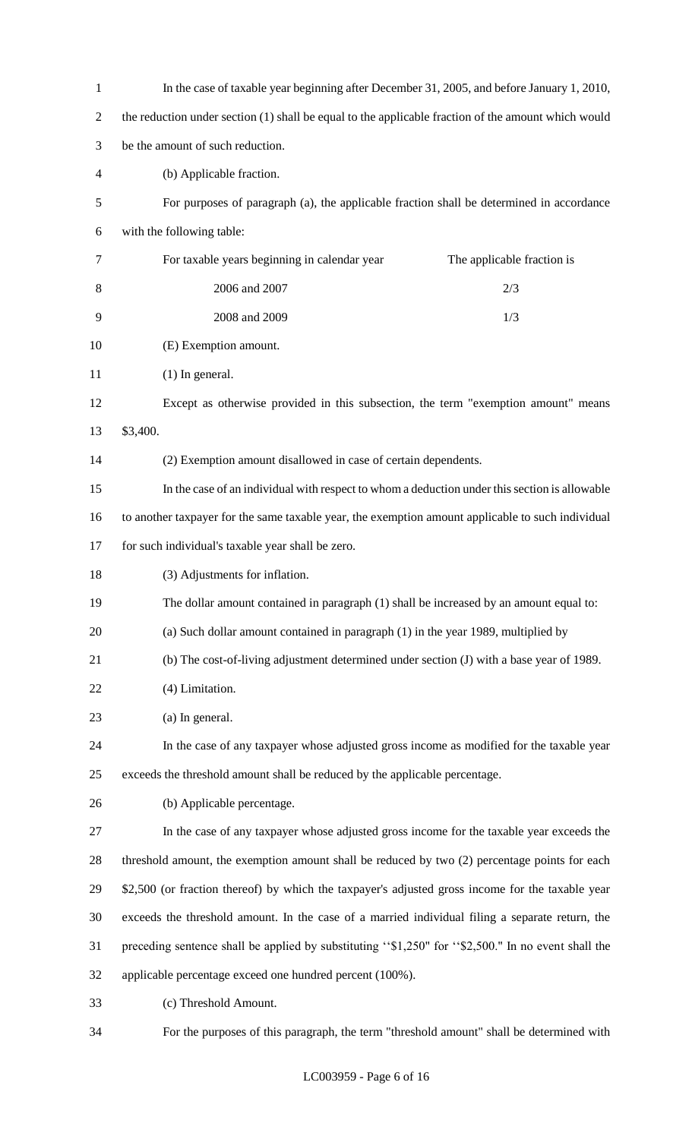| $\mathbf{1}$   | In the case of taxable year beginning after December 31, 2005, and before January 1, 2010,          |  |  |
|----------------|-----------------------------------------------------------------------------------------------------|--|--|
| $\overline{2}$ | the reduction under section (1) shall be equal to the applicable fraction of the amount which would |  |  |
| 3              | be the amount of such reduction.                                                                    |  |  |
| 4              | (b) Applicable fraction.                                                                            |  |  |
| 5              | For purposes of paragraph (a), the applicable fraction shall be determined in accordance            |  |  |
| 6              | with the following table:                                                                           |  |  |
| 7              | For taxable years beginning in calendar year<br>The applicable fraction is                          |  |  |
| 8              | 2006 and 2007<br>2/3                                                                                |  |  |
| 9              | 2008 and 2009<br>1/3                                                                                |  |  |
| 10             | (E) Exemption amount.                                                                               |  |  |
| 11             | $(1)$ In general.                                                                                   |  |  |
| 12             | Except as otherwise provided in this subsection, the term "exemption amount" means                  |  |  |
| 13             | \$3,400.                                                                                            |  |  |
| 14             | (2) Exemption amount disallowed in case of certain dependents.                                      |  |  |
| 15             | In the case of an individual with respect to whom a deduction under this section is allowable       |  |  |
| 16             | to another taxpayer for the same taxable year, the exemption amount applicable to such individual   |  |  |
| 17             | for such individual's taxable year shall be zero.                                                   |  |  |
| 18             | (3) Adjustments for inflation.                                                                      |  |  |
| 19             | The dollar amount contained in paragraph (1) shall be increased by an amount equal to:              |  |  |
| 20             | (a) Such dollar amount contained in paragraph (1) in the year 1989, multiplied by                   |  |  |
| 21             | (b) The cost-of-living adjustment determined under section (J) with a base year of 1989.            |  |  |
| 22             | (4) Limitation.                                                                                     |  |  |
| 23             | (a) In general.                                                                                     |  |  |
| 24             | In the case of any taxpayer whose adjusted gross income as modified for the taxable year            |  |  |
| 25             | exceeds the threshold amount shall be reduced by the applicable percentage.                         |  |  |
| 26             | (b) Applicable percentage.                                                                          |  |  |
| 27             | In the case of any taxpayer whose adjusted gross income for the taxable year exceeds the            |  |  |
| 28             | threshold amount, the exemption amount shall be reduced by two (2) percentage points for each       |  |  |
| 29             | \$2,500 (or fraction thereof) by which the taxpayer's adjusted gross income for the taxable year    |  |  |
| 30             | exceeds the threshold amount. In the case of a married individual filing a separate return, the     |  |  |
| 31             | preceding sentence shall be applied by substituting "\$1,250" for "\$2,500." In no event shall the  |  |  |
| 32             | applicable percentage exceed one hundred percent (100%).                                            |  |  |
| 33             | (c) Threshold Amount.                                                                               |  |  |
|                |                                                                                                     |  |  |

For the purposes of this paragraph, the term "threshold amount" shall be determined with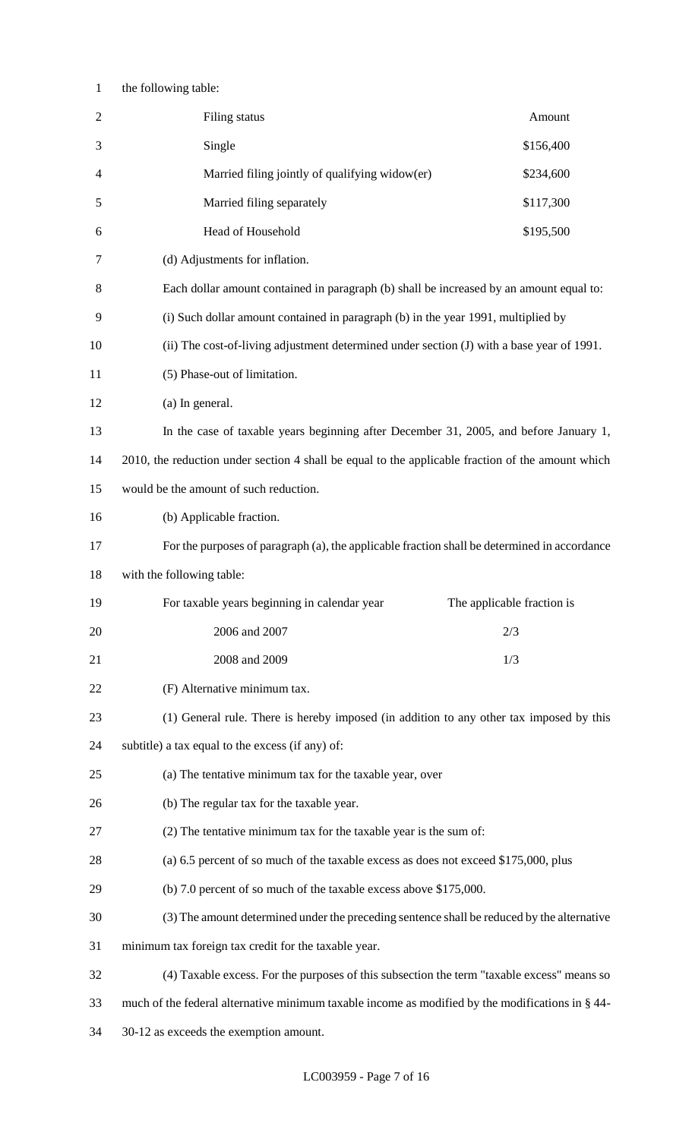## the following table:

| $\mathbf{2}$ | Filing status                                                                                     | Amount    |  |
|--------------|---------------------------------------------------------------------------------------------------|-----------|--|
| 3            | Single                                                                                            | \$156,400 |  |
| 4            | Married filing jointly of qualifying widow(er)                                                    | \$234,600 |  |
| 5            | Married filing separately                                                                         | \$117,300 |  |
| 6            | Head of Household                                                                                 | \$195,500 |  |
| 7            | (d) Adjustments for inflation.                                                                    |           |  |
| 8            | Each dollar amount contained in paragraph (b) shall be increased by an amount equal to:           |           |  |
| 9            | (i) Such dollar amount contained in paragraph (b) in the year 1991, multiplied by                 |           |  |
| 10           | (ii) The cost-of-living adjustment determined under section (J) with a base year of 1991.         |           |  |
| 11           | (5) Phase-out of limitation.                                                                      |           |  |
| 12           | (a) In general.                                                                                   |           |  |
| 13           | In the case of taxable years beginning after December 31, 2005, and before January 1,             |           |  |
| 14           | 2010, the reduction under section 4 shall be equal to the applicable fraction of the amount which |           |  |
| 15           | would be the amount of such reduction.                                                            |           |  |
| 16           | (b) Applicable fraction.                                                                          |           |  |
| 17           | For the purposes of paragraph (a), the applicable fraction shall be determined in accordance      |           |  |
| 18           | with the following table:                                                                         |           |  |
| 19           | For taxable years beginning in calendar year<br>The applicable fraction is                        |           |  |
| 20           | 2006 and 2007<br>2/3                                                                              |           |  |
| 21           | 2008 and 2009<br>1/3                                                                              |           |  |
| 22           | (F) Alternative minimum tax.                                                                      |           |  |
| 23           | (1) General rule. There is hereby imposed (in addition to any other tax imposed by this           |           |  |
| 24           | subtitle) a tax equal to the excess (if any) of:                                                  |           |  |
| 25           | (a) The tentative minimum tax for the taxable year, over                                          |           |  |
| 26           | (b) The regular tax for the taxable year.                                                         |           |  |
| 27           | (2) The tentative minimum tax for the taxable year is the sum of:                                 |           |  |
| 28           | (a) 6.5 percent of so much of the taxable excess as does not exceed \$175,000, plus               |           |  |
| 29           | (b) 7.0 percent of so much of the taxable excess above \$175,000.                                 |           |  |
| 30           | (3) The amount determined under the preceding sentence shall be reduced by the alternative        |           |  |
| 31           | minimum tax foreign tax credit for the taxable year.                                              |           |  |
|              |                                                                                                   |           |  |
| 32           | (4) Taxable excess. For the purposes of this subsection the term "taxable excess" means so        |           |  |
| 33           | much of the federal alternative minimum taxable income as modified by the modifications in § 44-  |           |  |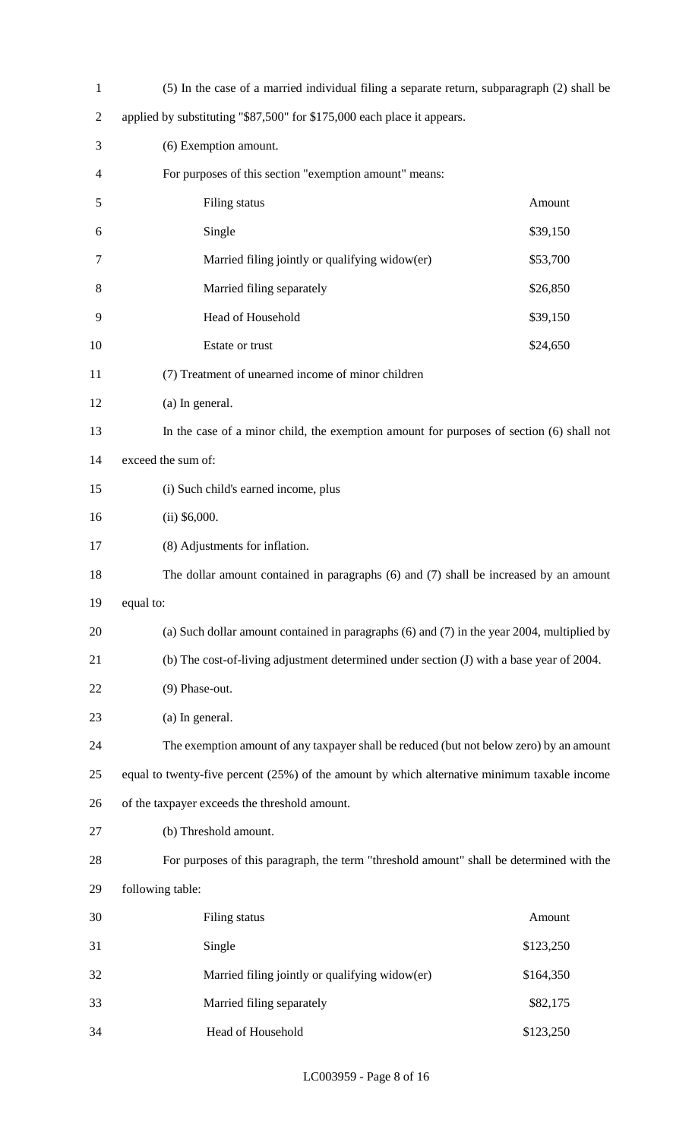| $\mathbf{1}$   | (5) In the case of a married individual filing a separate return, subparagraph (2) shall be    |           |  |  |
|----------------|------------------------------------------------------------------------------------------------|-----------|--|--|
| $\overline{2}$ | applied by substituting "\$87,500" for \$175,000 each place it appears.                        |           |  |  |
| 3              | (6) Exemption amount.                                                                          |           |  |  |
| 4              | For purposes of this section "exemption amount" means:                                         |           |  |  |
| 5              | Filing status<br>Amount                                                                        |           |  |  |
| 6              | Single<br>\$39,150                                                                             |           |  |  |
| 7              | Married filing jointly or qualifying widow(er)<br>\$53,700                                     |           |  |  |
| 8              | Married filing separately<br>\$26,850                                                          |           |  |  |
| 9              | Head of Household<br>\$39,150                                                                  |           |  |  |
| 10             | Estate or trust<br>\$24,650                                                                    |           |  |  |
| 11             | (7) Treatment of unearned income of minor children                                             |           |  |  |
| 12             | (a) In general.                                                                                |           |  |  |
| 13             | In the case of a minor child, the exemption amount for purposes of section (6) shall not       |           |  |  |
| 14             | exceed the sum of:                                                                             |           |  |  |
| 15             | (i) Such child's earned income, plus                                                           |           |  |  |
| 16             | $(ii)$ \$6,000.                                                                                |           |  |  |
| 17             | (8) Adjustments for inflation.                                                                 |           |  |  |
| 18             | The dollar amount contained in paragraphs (6) and (7) shall be increased by an amount          |           |  |  |
| 19             | equal to:                                                                                      |           |  |  |
| 20             | (a) Such dollar amount contained in paragraphs $(6)$ and $(7)$ in the year 2004, multiplied by |           |  |  |
| 21             | (b) The cost-of-living adjustment determined under section (J) with a base year of 2004.       |           |  |  |
| 22             | (9) Phase-out.                                                                                 |           |  |  |
| 23             | (a) In general.                                                                                |           |  |  |
| 24             | The exemption amount of any taxpayer shall be reduced (but not below zero) by an amount        |           |  |  |
| 25             | equal to twenty-five percent (25%) of the amount by which alternative minimum taxable income   |           |  |  |
| 26             | of the taxpayer exceeds the threshold amount.                                                  |           |  |  |
| 27             | (b) Threshold amount.                                                                          |           |  |  |
| 28             | For purposes of this paragraph, the term "threshold amount" shall be determined with the       |           |  |  |
| 29             | following table:                                                                               |           |  |  |
| 30             | Filing status                                                                                  | Amount    |  |  |
| 31             | Single                                                                                         | \$123,250 |  |  |
| 32             | Married filing jointly or qualifying widow(er)                                                 | \$164,350 |  |  |
| 33             | Married filing separately<br>\$82,175                                                          |           |  |  |
| 34             | Head of Household                                                                              | \$123,250 |  |  |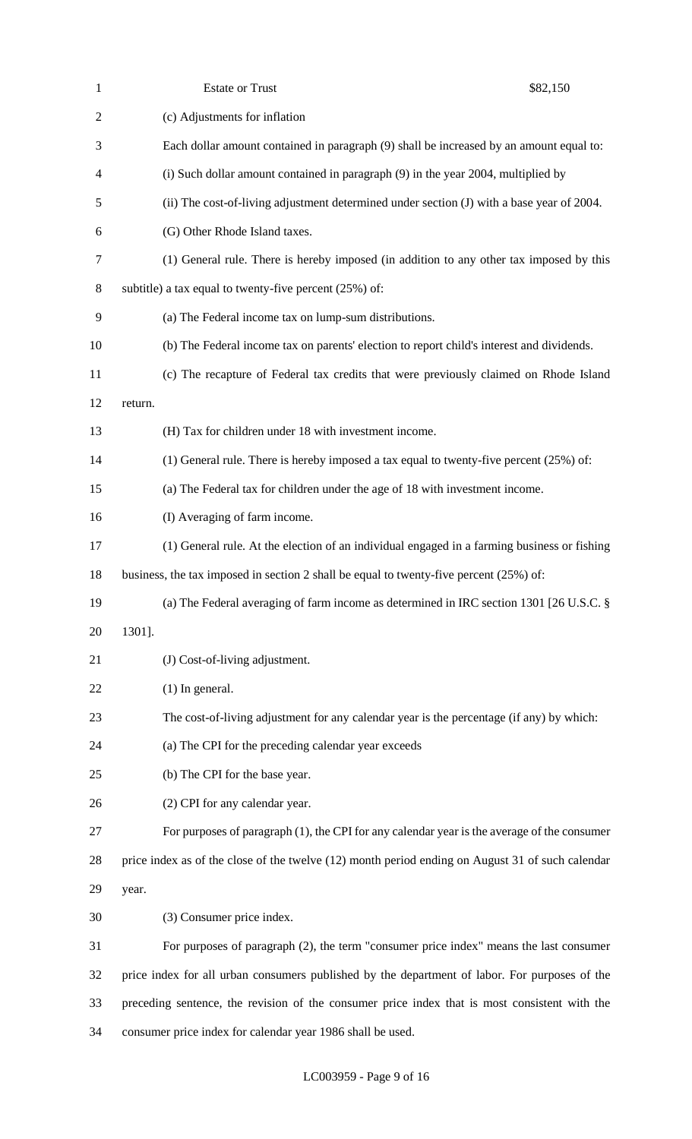| $\mathbf{1}$   | <b>Estate or Trust</b>                                                                           | \$82,150 |  |
|----------------|--------------------------------------------------------------------------------------------------|----------|--|
| $\overline{2}$ | (c) Adjustments for inflation                                                                    |          |  |
| 3              | Each dollar amount contained in paragraph (9) shall be increased by an amount equal to:          |          |  |
| 4              | (i) Such dollar amount contained in paragraph (9) in the year 2004, multiplied by                |          |  |
| 5              | (ii) The cost-of-living adjustment determined under section (J) with a base year of 2004.        |          |  |
| 6              | (G) Other Rhode Island taxes.                                                                    |          |  |
| $\tau$         | (1) General rule. There is hereby imposed (in addition to any other tax imposed by this          |          |  |
| $8\,$          | subtitle) a tax equal to twenty-five percent $(25%)$ of:                                         |          |  |
| 9              | (a) The Federal income tax on lump-sum distributions.                                            |          |  |
| 10             | (b) The Federal income tax on parents' election to report child's interest and dividends.        |          |  |
| 11             | (c) The recapture of Federal tax credits that were previously claimed on Rhode Island            |          |  |
| 12             | return.                                                                                          |          |  |
| 13             | (H) Tax for children under 18 with investment income.                                            |          |  |
| 14             | (1) General rule. There is hereby imposed a tax equal to twenty-five percent $(25%)$ of:         |          |  |
| 15             | (a) The Federal tax for children under the age of 18 with investment income.                     |          |  |
| 16             | (I) Averaging of farm income.                                                                    |          |  |
| 17             | (1) General rule. At the election of an individual engaged in a farming business or fishing      |          |  |
| 18             | business, the tax imposed in section 2 shall be equal to twenty-five percent (25%) of:           |          |  |
| 19             | (a) The Federal averaging of farm income as determined in IRC section 1301 [26 U.S.C. $\S$       |          |  |
| 20             | 1301].                                                                                           |          |  |
| 21             | (J) Cost-of-living adjustment.                                                                   |          |  |
| 22             | $(1)$ In general.                                                                                |          |  |
| 23             | The cost-of-living adjustment for any calendar year is the percentage (if any) by which:         |          |  |
| 24             | (a) The CPI for the preceding calendar year exceeds                                              |          |  |
| 25             | (b) The CPI for the base year.                                                                   |          |  |
| 26             | (2) CPI for any calendar year.                                                                   |          |  |
| 27             | For purposes of paragraph (1), the CPI for any calendar year is the average of the consumer      |          |  |
| 28             | price index as of the close of the twelve (12) month period ending on August 31 of such calendar |          |  |
| 29             | year.                                                                                            |          |  |
| 30             | (3) Consumer price index.                                                                        |          |  |
| 31             | For purposes of paragraph $(2)$ , the term "consumer price index" means the last consumer        |          |  |
| 32             | price index for all urban consumers published by the department of labor. For purposes of the    |          |  |
| 33             | preceding sentence, the revision of the consumer price index that is most consistent with the    |          |  |
| 34             | consumer price index for calendar year 1986 shall be used.                                       |          |  |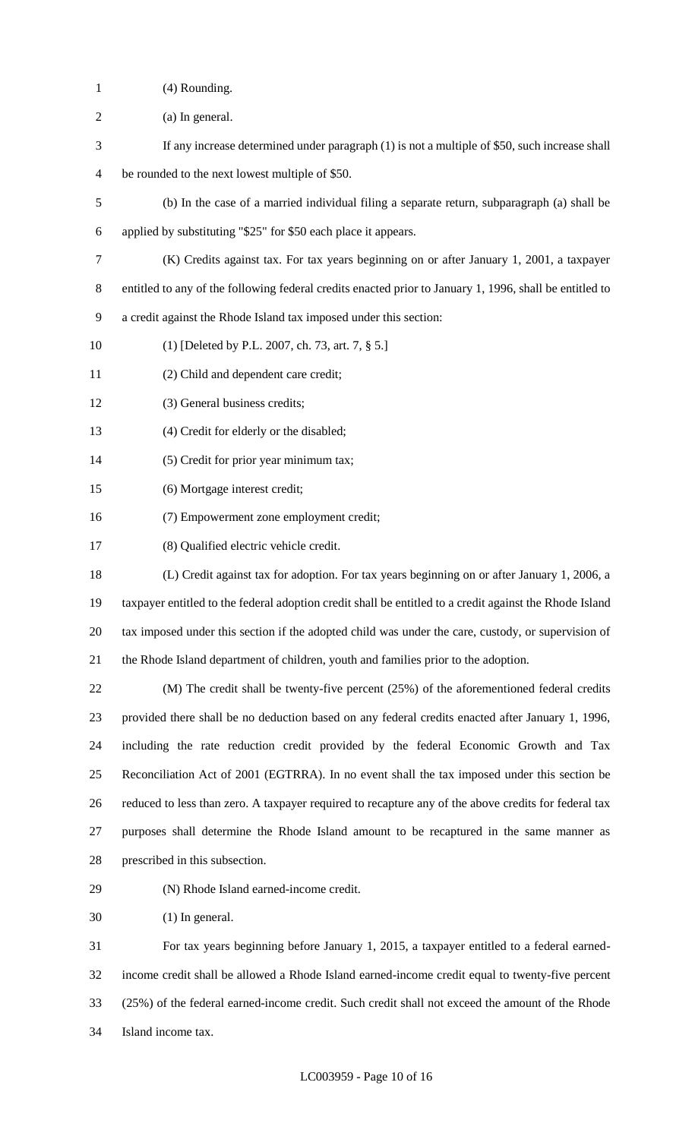- (4) Rounding.
- (a) In general.
- If any increase determined under paragraph (1) is not a multiple of \$50, such increase shall
- be rounded to the next lowest multiple of \$50.
- (b) In the case of a married individual filing a separate return, subparagraph (a) shall be
- applied by substituting "\$25" for \$50 each place it appears.
- (K) Credits against tax. For tax years beginning on or after January 1, 2001, a taxpayer
- entitled to any of the following federal credits enacted prior to January 1, 1996, shall be entitled to
- a credit against the Rhode Island tax imposed under this section:
- (1) [Deleted by P.L. 2007, ch. 73, art. 7, § 5.]
- (2) Child and dependent care credit;
- (3) General business credits;
- (4) Credit for elderly or the disabled;
- (5) Credit for prior year minimum tax;
- (6) Mortgage interest credit;
- (7) Empowerment zone employment credit;
- (8) Qualified electric vehicle credit.
- (L) Credit against tax for adoption. For tax years beginning on or after January 1, 2006, a taxpayer entitled to the federal adoption credit shall be entitled to a credit against the Rhode Island tax imposed under this section if the adopted child was under the care, custody, or supervision of the Rhode Island department of children, youth and families prior to the adoption.

 (M) The credit shall be twenty-five percent (25%) of the aforementioned federal credits provided there shall be no deduction based on any federal credits enacted after January 1, 1996, including the rate reduction credit provided by the federal Economic Growth and Tax Reconciliation Act of 2001 (EGTRRA). In no event shall the tax imposed under this section be reduced to less than zero. A taxpayer required to recapture any of the above credits for federal tax purposes shall determine the Rhode Island amount to be recaptured in the same manner as prescribed in this subsection.

- 
- (N) Rhode Island earned-income credit.

(1) In general.

 For tax years beginning before January 1, 2015, a taxpayer entitled to a federal earned- income credit shall be allowed a Rhode Island earned-income credit equal to twenty-five percent (25%) of the federal earned-income credit. Such credit shall not exceed the amount of the Rhode Island income tax.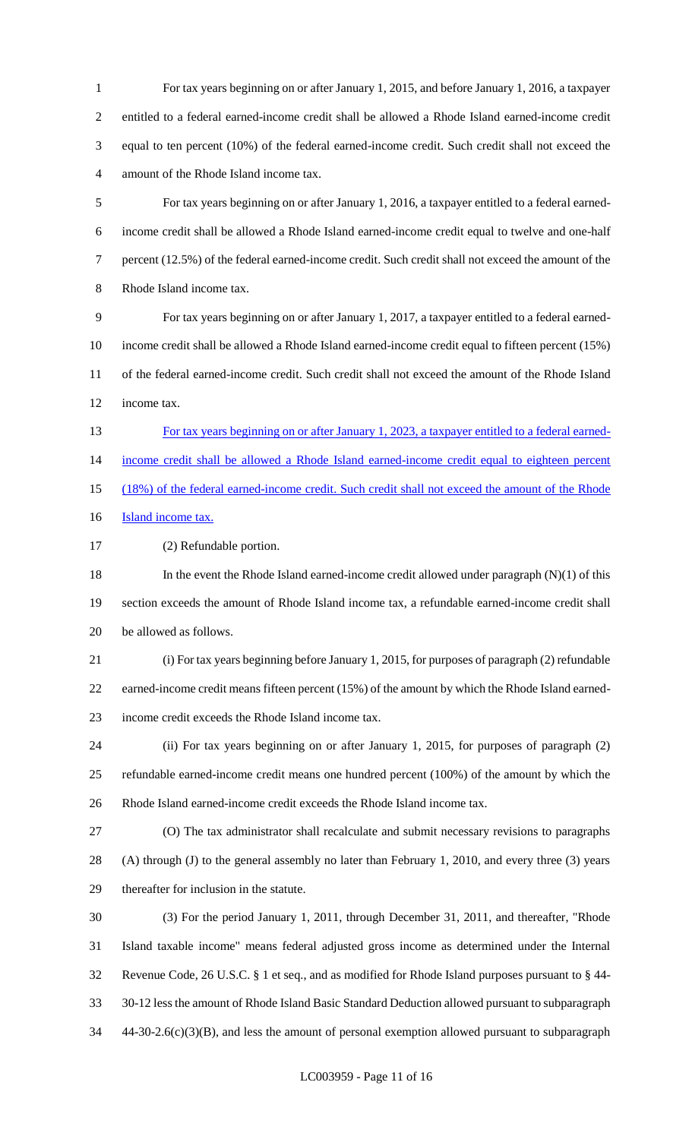For tax years beginning on or after January 1, 2015, and before January 1, 2016, a taxpayer entitled to a federal earned-income credit shall be allowed a Rhode Island earned-income credit equal to ten percent (10%) of the federal earned-income credit. Such credit shall not exceed the amount of the Rhode Island income tax.

 For tax years beginning on or after January 1, 2016, a taxpayer entitled to a federal earned- income credit shall be allowed a Rhode Island earned-income credit equal to twelve and one-half percent (12.5%) of the federal earned-income credit. Such credit shall not exceed the amount of the Rhode Island income tax.

 For tax years beginning on or after January 1, 2017, a taxpayer entitled to a federal earned- income credit shall be allowed a Rhode Island earned-income credit equal to fifteen percent (15%) of the federal earned-income credit. Such credit shall not exceed the amount of the Rhode Island income tax.

 For tax years beginning on or after January 1, 2023, a taxpayer entitled to a federal earned-14 income credit shall be allowed a Rhode Island earned-income credit equal to eighteen percent (18%) of the federal earned-income credit. Such credit shall not exceed the amount of the Rhode **Island income tax.** 

(2) Refundable portion.

 In the event the Rhode Island earned-income credit allowed under paragraph (N)(1) of this section exceeds the amount of Rhode Island income tax, a refundable earned-income credit shall be allowed as follows.

 (i) For tax years beginning before January 1, 2015, for purposes of paragraph (2) refundable earned-income credit means fifteen percent (15%) of the amount by which the Rhode Island earned-income credit exceeds the Rhode Island income tax.

 (ii) For tax years beginning on or after January 1, 2015, for purposes of paragraph (2) refundable earned-income credit means one hundred percent (100%) of the amount by which the Rhode Island earned-income credit exceeds the Rhode Island income tax.

 (O) The tax administrator shall recalculate and submit necessary revisions to paragraphs (A) through (J) to the general assembly no later than February 1, 2010, and every three (3) years thereafter for inclusion in the statute.

 (3) For the period January 1, 2011, through December 31, 2011, and thereafter, "Rhode Island taxable income" means federal adjusted gross income as determined under the Internal Revenue Code, 26 U.S.C. § 1 et seq., and as modified for Rhode Island purposes pursuant to § 44- 30-12 less the amount of Rhode Island Basic Standard Deduction allowed pursuant to subparagraph 44-30-2.6(c)(3)(B), and less the amount of personal exemption allowed pursuant to subparagraph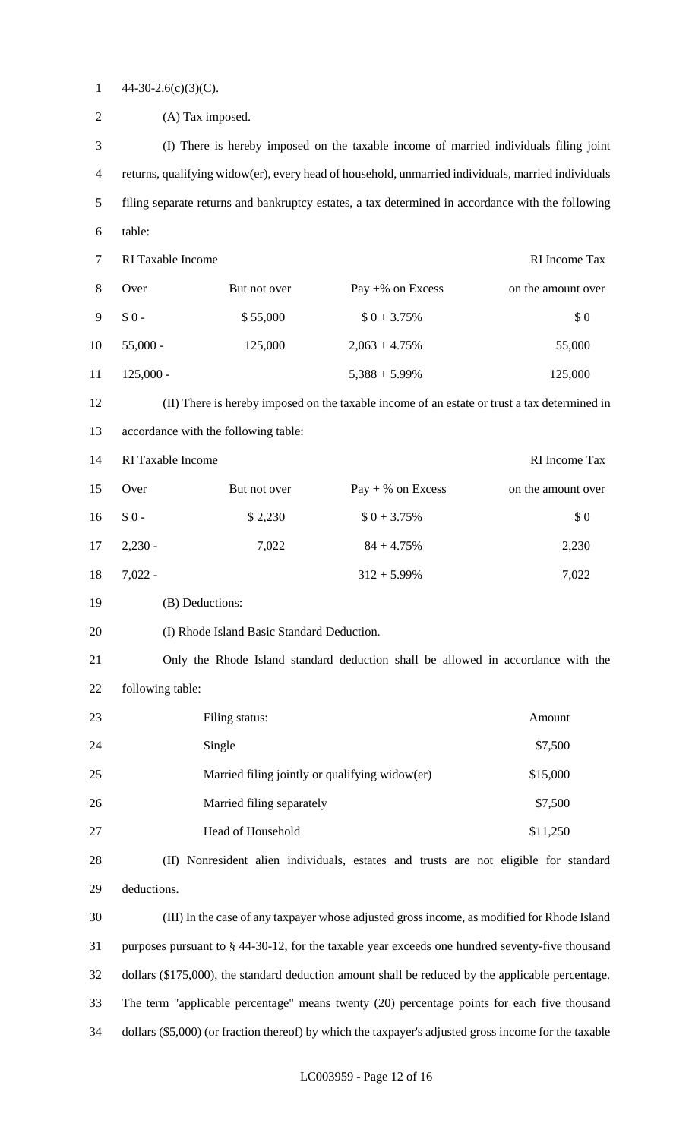1  $44-30-2.6(c)(3)(C)$ .

| $\overline{2}$ | (A) Tax imposed.                                                                                      |                   |                                                                                                   |                    |
|----------------|-------------------------------------------------------------------------------------------------------|-------------------|---------------------------------------------------------------------------------------------------|--------------------|
| 3              | (I) There is hereby imposed on the taxable income of married individuals filing joint                 |                   |                                                                                                   |                    |
| $\overline{4}$ | returns, qualifying widow(er), every head of household, unmarried individuals, married individuals    |                   |                                                                                                   |                    |
| 5              |                                                                                                       |                   | filing separate returns and bankruptcy estates, a tax determined in accordance with the following |                    |
| 6              | table:                                                                                                |                   |                                                                                                   |                    |
| $\tau$         | RI Taxable Income                                                                                     |                   |                                                                                                   | RI Income Tax      |
| $8\,$          | Over                                                                                                  | But not over      | Pay $+$ % on Excess                                                                               | on the amount over |
| 9              | $$0-$                                                                                                 | \$55,000          | $$0 + 3.75\%$                                                                                     | \$0                |
| 10             | $55,000 -$                                                                                            | 125,000           | $2,063 + 4.75\%$                                                                                  | 55,000             |
| 11             | $125,000 -$                                                                                           |                   | $5,388 + 5.99\%$                                                                                  | 125,000            |
| 12             |                                                                                                       |                   | (II) There is hereby imposed on the taxable income of an estate or trust a tax determined in      |                    |
| 13             | accordance with the following table:                                                                  |                   |                                                                                                   |                    |
| 14             | RI Taxable Income                                                                                     |                   |                                                                                                   | RI Income Tax      |
| 15             | Over                                                                                                  | But not over      | $Pay + % on Excess$                                                                               | on the amount over |
| 16             | $$0-$                                                                                                 | \$2,230           | $$0 + 3.75\%$                                                                                     | \$0                |
| 17             | $2,230 -$                                                                                             | 7,022             | $84 + 4.75%$                                                                                      | 2,230              |
| 18             | $7,022 -$                                                                                             |                   | $312 + 5.99\%$                                                                                    | 7,022              |
| 19             | (B) Deductions:                                                                                       |                   |                                                                                                   |                    |
| 20             | (I) Rhode Island Basic Standard Deduction.                                                            |                   |                                                                                                   |                    |
| 21             | Only the Rhode Island standard deduction shall be allowed in accordance with the                      |                   |                                                                                                   |                    |
| 22             | following table:                                                                                      |                   |                                                                                                   |                    |
| 23             | Amount<br>Filing status:                                                                              |                   |                                                                                                   |                    |
| 24             | \$7,500<br>Single                                                                                     |                   |                                                                                                   |                    |
| 25             | Married filing jointly or qualifying widow(er)<br>\$15,000                                            |                   |                                                                                                   |                    |
| 26             | \$7,500<br>Married filing separately                                                                  |                   |                                                                                                   |                    |
| 27             |                                                                                                       | Head of Household |                                                                                                   | \$11,250           |
| 28             | (II) Nonresident alien individuals, estates and trusts are not eligible for standard                  |                   |                                                                                                   |                    |
| 29             | deductions.                                                                                           |                   |                                                                                                   |                    |
| 30             | (III) In the case of any taxpayer whose adjusted gross income, as modified for Rhode Island           |                   |                                                                                                   |                    |
| 31             | purposes pursuant to § 44-30-12, for the taxable year exceeds one hundred seventy-five thousand       |                   |                                                                                                   |                    |
| 32             | dollars (\$175,000), the standard deduction amount shall be reduced by the applicable percentage.     |                   |                                                                                                   |                    |
| 33             | The term "applicable percentage" means twenty (20) percentage points for each five thousand           |                   |                                                                                                   |                    |
| 34             | dollars (\$5,000) (or fraction thereof) by which the taxpayer's adjusted gross income for the taxable |                   |                                                                                                   |                    |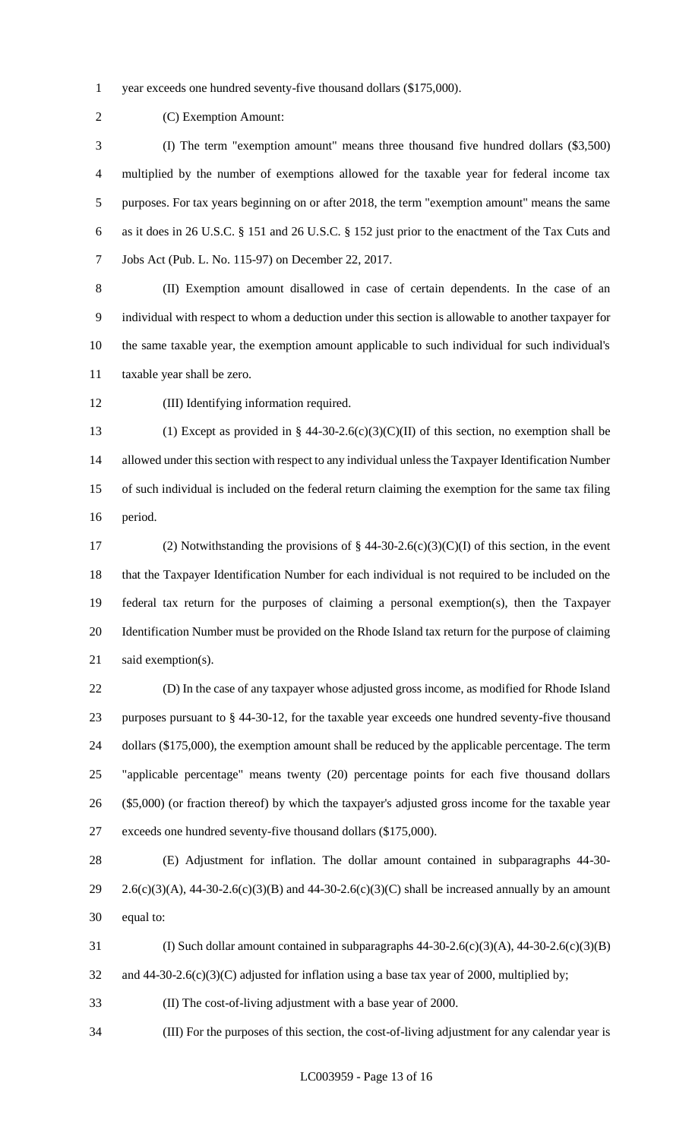year exceeds one hundred seventy-five thousand dollars (\$175,000).

(C) Exemption Amount:

 (I) The term "exemption amount" means three thousand five hundred dollars (\$3,500) multiplied by the number of exemptions allowed for the taxable year for federal income tax purposes. For tax years beginning on or after 2018, the term "exemption amount" means the same as it does in 26 U.S.C. § 151 and 26 U.S.C. § 152 just prior to the enactment of the Tax Cuts and Jobs Act (Pub. L. No. 115-97) on December 22, 2017.

 (II) Exemption amount disallowed in case of certain dependents. In the case of an individual with respect to whom a deduction under this section is allowable to another taxpayer for the same taxable year, the exemption amount applicable to such individual for such individual's taxable year shall be zero.

(III) Identifying information required.

13 (1) Except as provided in § 44-30-2.6(c)(3)(C)(II) of this section, no exemption shall be allowed under this section with respect to any individual unless the Taxpayer Identification Number of such individual is included on the federal return claiming the exemption for the same tax filing period.

17 (2) Notwithstanding the provisions of  $\S$  44-30-2.6(c)(3)(C)(I) of this section, in the event that the Taxpayer Identification Number for each individual is not required to be included on the federal tax return for the purposes of claiming a personal exemption(s), then the Taxpayer Identification Number must be provided on the Rhode Island tax return for the purpose of claiming 21 said exemption(s).

 (D) In the case of any taxpayer whose adjusted gross income, as modified for Rhode Island purposes pursuant to § 44-30-12, for the taxable year exceeds one hundred seventy-five thousand 24 dollars (\$175,000), the exemption amount shall be reduced by the applicable percentage. The term "applicable percentage" means twenty (20) percentage points for each five thousand dollars (\$5,000) (or fraction thereof) by which the taxpayer's adjusted gross income for the taxable year exceeds one hundred seventy-five thousand dollars (\$175,000).

 (E) Adjustment for inflation. The dollar amount contained in subparagraphs 44-30- 29 2.6(c)(3)(A), 44-30-2.6(c)(3)(B) and 44-30-2.6(c)(3)(C) shall be increased annually by an amount equal to:

31 (I) Such dollar amount contained in subparagraphs  $44-30-2.6(c)(3)(A)$ ,  $44-30-2.6(c)(3)(B)$ 

32 and 44-30-2.6(c)(3)(C) adjusted for inflation using a base tax year of 2000, multiplied by;

(II) The cost-of-living adjustment with a base year of 2000.

(III) For the purposes of this section, the cost-of-living adjustment for any calendar year is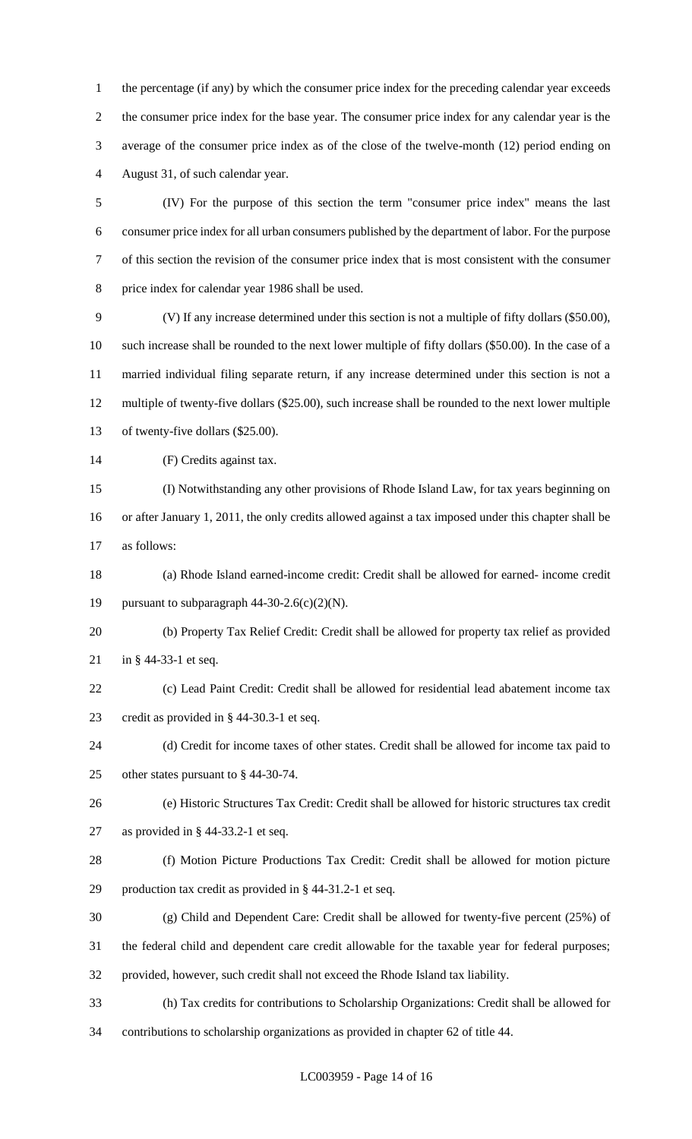the percentage (if any) by which the consumer price index for the preceding calendar year exceeds the consumer price index for the base year. The consumer price index for any calendar year is the average of the consumer price index as of the close of the twelve-month (12) period ending on August 31, of such calendar year.

 (IV) For the purpose of this section the term "consumer price index" means the last consumer price index for all urban consumers published by the department of labor. For the purpose of this section the revision of the consumer price index that is most consistent with the consumer price index for calendar year 1986 shall be used.

 (V) If any increase determined under this section is not a multiple of fifty dollars (\$50.00), such increase shall be rounded to the next lower multiple of fifty dollars (\$50.00). In the case of a married individual filing separate return, if any increase determined under this section is not a multiple of twenty-five dollars (\$25.00), such increase shall be rounded to the next lower multiple of twenty-five dollars (\$25.00).

(F) Credits against tax.

 (I) Notwithstanding any other provisions of Rhode Island Law, for tax years beginning on or after January 1, 2011, the only credits allowed against a tax imposed under this chapter shall be as follows:

 (a) Rhode Island earned-income credit: Credit shall be allowed for earned- income credit 19 pursuant to subparagraph  $44-30-2.6(c)(2)(N)$ .

 (b) Property Tax Relief Credit: Credit shall be allowed for property tax relief as provided in § 44-33-1 et seq.

 (c) Lead Paint Credit: Credit shall be allowed for residential lead abatement income tax credit as provided in § 44-30.3-1 et seq.

 (d) Credit for income taxes of other states. Credit shall be allowed for income tax paid to other states pursuant to § 44-30-74.

 (e) Historic Structures Tax Credit: Credit shall be allowed for historic structures tax credit as provided in § 44-33.2-1 et seq.

 (f) Motion Picture Productions Tax Credit: Credit shall be allowed for motion picture production tax credit as provided in § 44-31.2-1 et seq.

(g) Child and Dependent Care: Credit shall be allowed for twenty-five percent (25%) of

the federal child and dependent care credit allowable for the taxable year for federal purposes;

provided, however, such credit shall not exceed the Rhode Island tax liability.

(h) Tax credits for contributions to Scholarship Organizations: Credit shall be allowed for

contributions to scholarship organizations as provided in chapter 62 of title 44.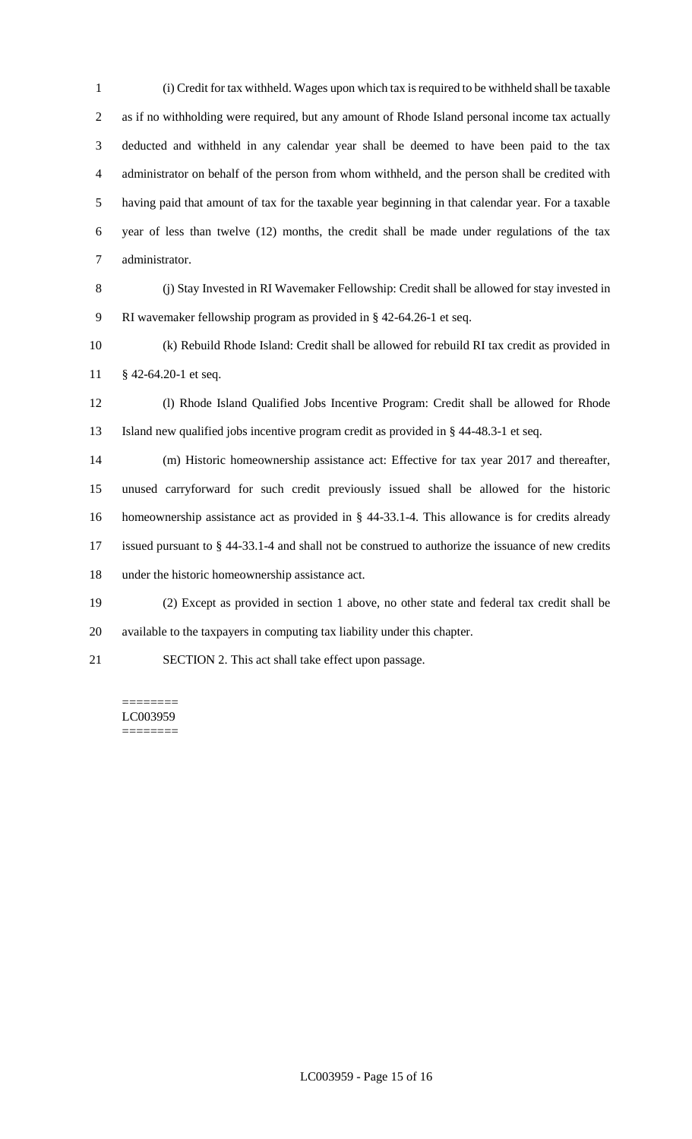(i) Credit for tax withheld. Wages upon which tax is required to be withheld shall be taxable as if no withholding were required, but any amount of Rhode Island personal income tax actually deducted and withheld in any calendar year shall be deemed to have been paid to the tax administrator on behalf of the person from whom withheld, and the person shall be credited with having paid that amount of tax for the taxable year beginning in that calendar year. For a taxable year of less than twelve (12) months, the credit shall be made under regulations of the tax administrator.

 (j) Stay Invested in RI Wavemaker Fellowship: Credit shall be allowed for stay invested in RI wavemaker fellowship program as provided in § 42-64.26-1 et seq.

 (k) Rebuild Rhode Island: Credit shall be allowed for rebuild RI tax credit as provided in § 42-64.20-1 et seq.

 (l) Rhode Island Qualified Jobs Incentive Program: Credit shall be allowed for Rhode Island new qualified jobs incentive program credit as provided in § 44-48.3-1 et seq.

 (m) Historic homeownership assistance act: Effective for tax year 2017 and thereafter, unused carryforward for such credit previously issued shall be allowed for the historic homeownership assistance act as provided in § 44-33.1-4. This allowance is for credits already issued pursuant to § 44-33.1-4 and shall not be construed to authorize the issuance of new credits under the historic homeownership assistance act.

 (2) Except as provided in section 1 above, no other state and federal tax credit shall be available to the taxpayers in computing tax liability under this chapter.

SECTION 2. This act shall take effect upon passage.

======== LC003959 ========